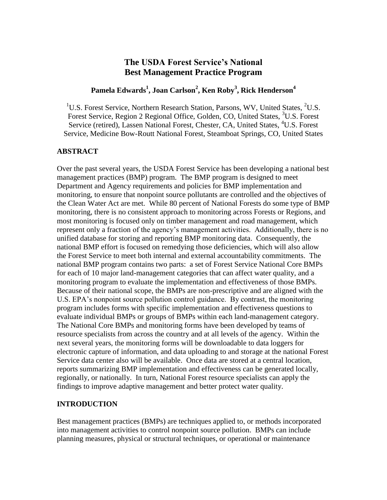# **The USDA Forest Service's National Best Management Practice Program**

## **Pamela Edwards<sup>1</sup> , Joan Carlson<sup>2</sup> , Ken Roby<sup>3</sup> , Rick Henderson<sup>4</sup>**

<sup>1</sup>U.S. Forest Service, Northern Research Station, Parsons, WV, United States, <sup>2</sup>U.S. Forest Service, Region 2 Regional Office, Golden, CO, United States, <sup>3</sup>U.S. Forest Service (retired), Lassen National Forest, Chester, CA, United States, <sup>4</sup>U.S. Forest Service, Medicine Bow-Routt National Forest, Steamboat Springs, CO, United States

### **ABSTRACT**

Over the past several years, the USDA Forest Service has been developing a national best management practices (BMP) program. The BMP program is designed to meet Department and Agency requirements and policies for BMP implementation and monitoring, to ensure that nonpoint source pollutants are controlled and the objectives of the Clean Water Act are met. While 80 percent of National Forests do some type of BMP monitoring, there is no consistent approach to monitoring across Forests or Regions, and most monitoring is focused only on timber management and road management, which represent only a fraction of the agency's management activities. Additionally, there is no unified database for storing and reporting BMP monitoring data. Consequently, the national BMP effort is focused on remedying those deficiencies, which will also allow the Forest Service to meet both internal and external accountability commitments. The national BMP program contains two parts: a set of Forest Service National Core BMPs for each of 10 major land-management categories that can affect water quality, and a monitoring program to evaluate the implementation and effectiveness of those BMPs. Because of their national scope, the BMPs are non-prescriptive and are aligned with the U.S. EPA's nonpoint source pollution control guidance. By contrast, the monitoring program includes forms with specific implementation and effectiveness questions to evaluate individual BMPs or groups of BMPs within each land-management category. The National Core BMPs and monitoring forms have been developed by teams of resource specialists from across the country and at all levels of the agency. Within the next several years, the monitoring forms will be downloadable to data loggers for electronic capture of information, and data uploading to and storage at the national Forest Service data center also will be available. Once data are stored at a central location, reports summarizing BMP implementation and effectiveness can be generated locally, regionally, or nationally. In turn, National Forest resource specialists can apply the findings to improve adaptive management and better protect water quality.

## **INTRODUCTION**

Best management practices (BMPs) are techniques applied to, or methods incorporated into management activities to control nonpoint source pollution. BMPs can include planning measures, physical or structural techniques, or operational or maintenance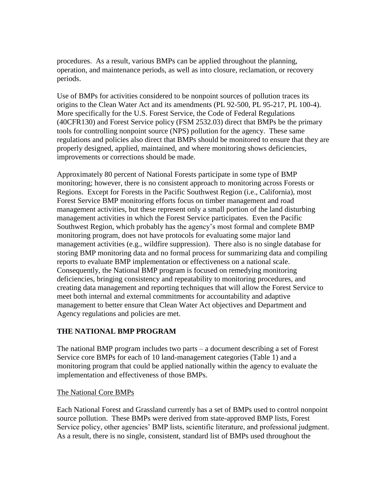procedures. As a result, various BMPs can be applied throughout the planning, operation, and maintenance periods, as well as into closure, reclamation, or recovery periods.

Use of BMPs for activities considered to be nonpoint sources of pollution traces its origins to the Clean Water Act and its amendments (PL 92-500, PL 95-217, PL 100-4). More specifically for the U.S. Forest Service, the Code of Federal Regulations (40CFR130) and Forest Service policy (FSM 2532.03) direct that BMPs be the primary tools for controlling nonpoint source (NPS) pollution for the agency. These same regulations and policies also direct that BMPs should be monitored to ensure that they are properly designed, applied, maintained, and where monitoring shows deficiencies, improvements or corrections should be made.

Approximately 80 percent of National Forests participate in some type of BMP monitoring; however, there is no consistent approach to monitoring across Forests or Regions. Except for Forests in the Pacific Southwest Region (i.e., California), most Forest Service BMP monitoring efforts focus on timber management and road management activities, but these represent only a small portion of the land disturbing management activities in which the Forest Service participates. Even the Pacific Southwest Region, which probably has the agency's most formal and complete BMP monitoring program, does not have protocols for evaluating some major land management activities (e.g., wildfire suppression). There also is no single database for storing BMP monitoring data and no formal process for summarizing data and compiling reports to evaluate BMP implementation or effectiveness on a national scale. Consequently, the National BMP program is focused on remedying monitoring deficiencies, bringing consistency and repeatability to monitoring procedures, and creating data management and reporting techniques that will allow the Forest Service to meet both internal and external commitments for accountability and adaptive management to better ensure that Clean Water Act objectives and Department and Agency regulations and policies are met.

## **THE NATIONAL BMP PROGRAM**

The national BMP program includes two parts – a document describing a set of Forest Service core BMPs for each of 10 land-management categories (Table 1) and a monitoring program that could be applied nationally within the agency to evaluate the implementation and effectiveness of those BMPs.

### The National Core BMPs

Each National Forest and Grassland currently has a set of BMPs used to control nonpoint source pollution. These BMPs were derived from state-approved BMP lists, Forest Service policy, other agencies' BMP lists, scientific literature, and professional judgment. As a result, there is no single, consistent, standard list of BMPs used throughout the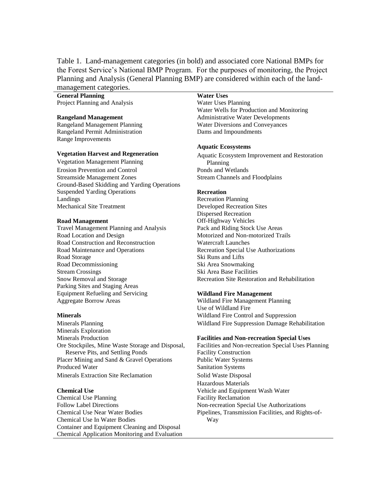Table 1. Land-management categories (in bold) and associated core National BMPs for the Forest Service's National BMP Program. For the purposes of monitoring, the Project Planning and Analysis (General Planning BMP) are considered within each of the landmanagement categories.

**General Planning Water Uses** Project Planning and Analysis Water Uses Planning

Rangeland Permit Administration Dams and Impoundments Range Improvements

Vegetation Management Planning Planning Planning Erosion Prevention and Control Ponds and Wetlands Streamside Management Zones Stream Channels and Floodplains Ground-Based Skidding and Yarding Operations Suspended Yarding Operations **Recreation** Landings Recreation Planning Mechanical Site Treatment Developed Recreation Sites

Travel Management Planning and Analysis Pack and Riding Stock Use Areas Road Location and Design **Motorized and Non-motorized Trails** Road Construction and Reconstruction Watercraft Launches Road Maintenance and Operations Recreation Special Use Authorizations Road Storage Ski Runs and Lifts Road Decommissioning Ski Area Snowmaking Stream Crossings Ski Area Base Facilities Parking Sites and Staging Areas Equipment Refueling and Servicing **Wildland Fire Management** Aggregate Borrow Areas Wildland Fire Management Planning

Minerals Exploration Minerals Production **Facilities and Non-recreation Special Uses** Ore Stockpiles, Mine Waste Storage and Disposal, Reserve Pits, and Settling Ponds Placer Mining and Sand & Gravel Operations Public Water Systems Produced Water Sanitation Systems Minerals Extraction Site Reclamation Solid Waste Disposal

Chemical Use Planning Facility Reclamation Follow Label Directions Non-recreation Special Use Authorizations Chemical Use Near Water Bodies Chemical Use In Water Bodies Container and Equipment Cleaning and Disposal Chemical Application Monitoring and Evaluation

Water Wells for Production and Monitoring **Rangeland Management** Administrative Water Developments Rangeland Management Planning Water Diversions and Conveyances

### **Aquatic Ecosystems**

**Vegetation Harvest and Regeneration** Aquatic Ecosystem Improvement and Restoration

Dispersed Recreation **Road Management** Off-Highway Vehicles Snow Removal and Storage Recreation Site Restoration and Rehabilitation

Use of Wildland Fire **Minerals** Mildland Fire Control and Suppression Minerals Planning Wildland Fire Suppression Damage Rehabilitation

Facilities and Non-recreation Special Uses Planning Facility Construction Hazardous Materials **Chemical Use** Vehicle and Equipment Wash Water Pipelines, Transmission Facilities, and Rights-of-Way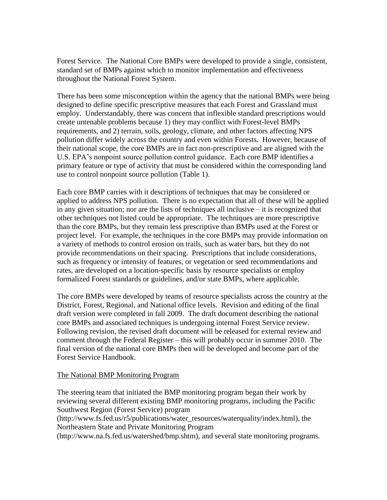Forest Service. The National Core BMPs were developed to provide a single, consistent, standard set of BMPs against which to monitor implementation and effectiveness throughout the National Forest System.

There has been some misconception within the agency that the national BMPs were being designed to define specific prescriptive measures that each Forest and Grassland must employ. Understandably, there was concern that inflexible standard prescriptions would create untenable problems because 1) they may conflict with Forest-level BMPs requirements, and 2) terrain, soils, geology, climate, and other factors affecting NPS pollution differ widely across the country and even within Forests. However, because of their national scope, the core BMPs are in fact non-prescriptive and are aligned with the U.S. EPA's nonpoint source pollution control guidance. Each core BMP identifies a primary feature or type of activity that must be considered within the corresponding land use to control nonpoint source pollution (Table 1).

Each core BMP carries with it descriptions of techniques that may be considered or applied to address NPS pollution. There is no expectation that all of these will be applied in any given situation; nor are the lists of techniques all inclusive – it is recognized that other techniques not listed could be appropriate. The techniques are more prescriptive than the core BMPs, but they remain less prescriptive than BMPs used at the Forest or project level. For example, the techniques in the core BMPs may provide information on a variety of methods to control erosion on trails, such as water bars, but they do not provide recommendations on their spacing. Prescriptions that include considerations, such as frequency or intensity of features, or vegetation or seed recommendations and rates, are developed on a location-specific basis by resource specialists or employ formalized Forest standards or guidelines, and/or state BMPs, where applicable.

The core BMPs were developed by teams of resource specialists across the country at the District, Forest, Regional, and National office levels. Revision and editing of the final draft version were completed in fall 2009. The draft document describing the national core BMPs and associated techniques is undergoing internal Forest Service review. Following revision, the revised draft document will be released for external review and comment through the Federal Register – this will probably occur in summer 2010. The final version of the national core BMPs then will be developed and become part of the Forest Service Handbook.

### The National BMP Monitoring Program

The steering team that initiated the BMP monitoring program began their work by reviewing several different existing BMP monitoring programs, including the Pacific Southwest Region (Forest Service) program (http://www.fs.fed.us/r5/publications/water\_resources/waterquality/index.html), the Northeastern State and Private Monitoring Program (http://www.na.fs.fed.us/watershed/bmp.shtm), and several state monitoring programs.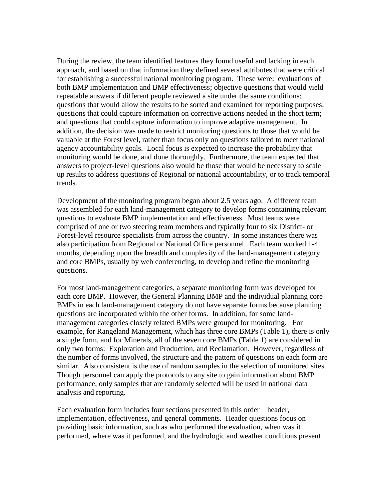During the review, the team identified features they found useful and lacking in each approach, and based on that information they defined several attributes that were critical for establishing a successful national monitoring program. These were: evaluations of both BMP implementation and BMP effectiveness; objective questions that would yield repeatable answers if different people reviewed a site under the same conditions; questions that would allow the results to be sorted and examined for reporting purposes; questions that could capture information on corrective actions needed in the short term; and questions that could capture information to improve adaptive management. In addition, the decision was made to restrict monitoring questions to those that would be valuable at the Forest level, rather than focus only on questions tailored to meet national agency accountability goals. Local focus is expected to increase the probability that monitoring would be done, and done thoroughly. Furthermore, the team expected that answers to project-level questions also would be those that would be necessary to scale up results to address questions of Regional or national accountability, or to track temporal trends.

Development of the monitoring program began about 2.5 years ago. A different team was assembled for each land-management category to develop forms containing relevant questions to evaluate BMP implementation and effectiveness. Most teams were comprised of one or two steering team members and typically four to six District- or Forest-level resource specialists from across the country. In some instances there was also participation from Regional or National Office personnel. Each team worked 1-4 months, depending upon the breadth and complexity of the land-management category and core BMPs, usually by web conferencing, to develop and refine the monitoring questions.

For most land-management categories, a separate monitoring form was developed for each core BMP. However, the General Planning BMP and the individual planning core BMPs in each land-management category do not have separate forms because planning questions are incorporated within the other forms. In addition, for some landmanagement categories closely related BMPs were grouped for monitoring. For example, for Rangeland Management, which has three core BMPs (Table 1), there is only a single form, and for Minerals, all of the seven core BMPs (Table 1) are considered in only two forms: Exploration and Production, and Reclamation. However, regardless of the number of forms involved, the structure and the pattern of questions on each form are similar. Also consistent is the use of random samples in the selection of monitored sites. Though personnel can apply the protocols to any site to gain information about BMP performance, only samples that are randomly selected will be used in national data analysis and reporting.

Each evaluation form includes four sections presented in this order – header, implementation, effectiveness, and general comments. Header questions focus on providing basic information, such as who performed the evaluation, when was it performed, where was it performed, and the hydrologic and weather conditions present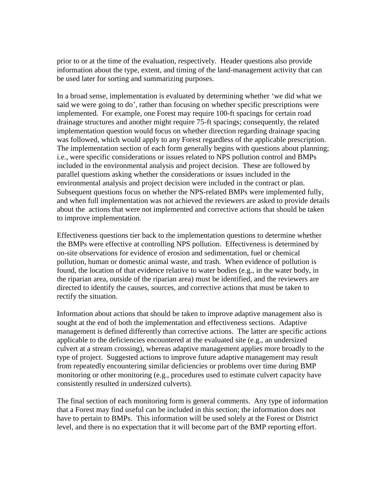prior to or at the time of the evaluation, respectively. Header questions also provide information about the type, extent, and timing of the land-management activity that can be used later for sorting and summarizing purposes.

In a broad sense, implementation is evaluated by determining whether 'we did what we said we were going to do', rather than focusing on whether specific prescriptions were implemented. For example, one Forest may require 100-ft spacings for certain road drainage structures and another might require 75-ft spacings; consequently, the related implementation question would focus on whether direction regarding drainage spacing was followed, which would apply to any Forest regardless of the applicable prescription. The implementation section of each form generally begins with questions about planning; i.e., were specific considerations or issues related to NPS pollution control and BMPs included in the environmental analysis and project decision. These are followed by parallel questions asking whether the considerations or issues included in the environmental analysis and project decision were included in the contract or plan. Subsequent questions focus on whether the NPS-related BMPs were implemented fully, and when full implementation was not achieved the reviewers are asked to provide details about the actions that were not implemented and corrective actions that should be taken to improve implementation.

Effectiveness questions tier back to the implementation questions to determine whether the BMPs were effective at controlling NPS pollution. Effectiveness is determined by on-site observations for evidence of erosion and sedimentation, fuel or chemical pollution, human or domestic animal waste, and trash. When evidence of pollution is found, the location of that evidence relative to water bodies (e.g., in the water body, in the riparian area, outside of the riparian area) must be identified, and the reviewers are directed to identify the causes, sources, and corrective actions that must be taken to rectify the situation.

Information about actions that should be taken to improve adaptive management also is sought at the end of both the implementation and effectiveness sections. Adaptive management is defined differently than corrective actions. The latter are specific actions applicable to the deficiencies encountered at the evaluated site (e.g., an undersized culvert at a stream crossing), whereas adaptive management applies more broadly to the type of project. Suggested actions to improve future adaptive management may result from repeatedly encountering similar deficiencies or problems over time during BMP monitoring or other monitoring (e.g., procedures used to estimate culvert capacity have consistently resulted in undersized culverts).

The final section of each monitoring form is general comments. Any type of information that a Forest may find useful can be included in this section; the information does not have to pertain to BMPs. This information will be used solely at the Forest or District level, and there is no expectation that it will become part of the BMP reporting effort.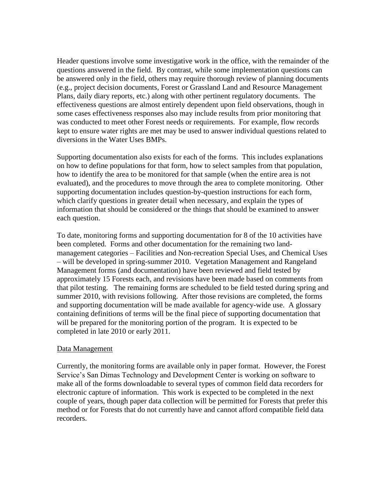Header questions involve some investigative work in the office, with the remainder of the questions answered in the field. By contrast, while some implementation questions can be answered only in the field, others may require thorough review of planning documents (e.g., project decision documents, Forest or Grassland Land and Resource Management Plans, daily diary reports, etc.) along with other pertinent regulatory documents. The effectiveness questions are almost entirely dependent upon field observations, though in some cases effectiveness responses also may include results from prior monitoring that was conducted to meet other Forest needs or requirements. For example, flow records kept to ensure water rights are met may be used to answer individual questions related to diversions in the Water Uses BMPs.

Supporting documentation also exists for each of the forms. This includes explanations on how to define populations for that form, how to select samples from that population, how to identify the area to be monitored for that sample (when the entire area is not evaluated), and the procedures to move through the area to complete monitoring. Other supporting documentation includes question-by-question instructions for each form, which clarify questions in greater detail when necessary, and explain the types of information that should be considered or the things that should be examined to answer each question.

To date, monitoring forms and supporting documentation for 8 of the 10 activities have been completed. Forms and other documentation for the remaining two landmanagement categories – Facilities and Non-recreation Special Uses, and Chemical Uses – will be developed in spring-summer 2010. Vegetation Management and Rangeland Management forms (and documentation) have been reviewed and field tested by approximately 15 Forests each, and revisions have been made based on comments from that pilot testing. The remaining forms are scheduled to be field tested during spring and summer 2010, with revisions following. After those revisions are completed, the forms and supporting documentation will be made available for agency-wide use. A glossary containing definitions of terms will be the final piece of supporting documentation that will be prepared for the monitoring portion of the program. It is expected to be completed in late 2010 or early 2011.

### Data Management

Currently, the monitoring forms are available only in paper format. However, the Forest Service's San Dimas Technology and Development Center is working on software to make all of the forms downloadable to several types of common field data recorders for electronic capture of information. This work is expected to be completed in the next couple of years, though paper data collection will be permitted for Forests that prefer this method or for Forests that do not currently have and cannot afford compatible field data recorders.